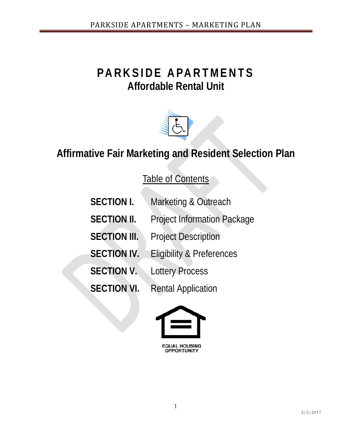# **PARKSIDE APARTMENTS Affordable Rental Unit**



# **Affirmative Fair Marketing and Resident Selection Plan**

Table of Contents

| <b>SECTION I.</b>   | Marketing & Outreach                 |
|---------------------|--------------------------------------|
| <b>SECTION II.</b>  | <b>Project Information Package</b>   |
| <b>SECTION III.</b> | <b>Project Description</b>           |
| <b>SECTION IV.</b>  | <b>Eligibility &amp; Preferences</b> |
| <b>SECTION V.</b>   | <b>Lottery Process</b>               |
| <b>SECTION VI.</b>  | <b>Rental Application</b>            |



**EQUAL HOUSING<br>OPPORTUNITY**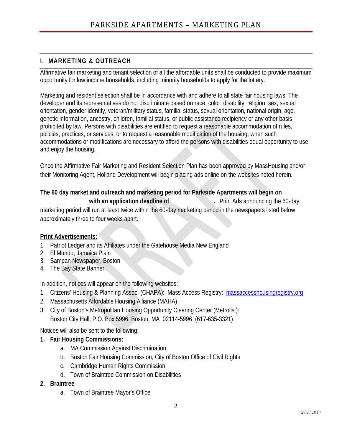## **I. MARKETING & OUTREACH**

Affirmative fair marketing and tenant selection of all the affordable units shall be conducted to provide maximum opportunity for low income households, including minority households to apply for the lottery.

Marketing and resident selection shall be in accordance with and adhere to all state fair housing laws. The developer and its representatives do not discriminate based on race, color, disability, religion, sex, sexual orientation, gender identify, veteran/military status, familial status, sexual orientation, national origin, age, genetic information, ancestry, children, familial status, or public assistance recipiency or any other basis prohibited by law. Persons with disabilities are entitled to request a reasonable accommodation of rules, policies, practices, or services, or to request a reasonable modification of the housing, when such accommodations or modifications are necessary to afford the persons with disabilities equal opportunity to use and enjoy the housing.

Once the Affirmative Fair Marketing and Resident Selection Plan has been approved by MassHousing and/or their Monitoring Agent, Holland Development will begin placing ads online on the websites noted herein.

### **The 60 day market and outreach and marketing period for Parkside Apartments will begin on**

**with an application deadline of <b>E** Print Ads announcing the 60-day marketing period will run at least twice within the 60-day marketing period in the newspapers listed below approximately three to four weeks apart.

#### **Print Advertisements:**

- 1. Patriot Ledger and its Affiliates under the Gatehouse Media New England
- 2. El Mundo, Jamaica Plain
- 3. Sampan Newspaper, Boston
- 4. The Bay State Banner

In addition, notices will appear on the following websites:

- 1. Citizens' Housing & Planning Assoc. (CHAPA): Mass Access Registry: [massaccesshousingregistry.org](mailto:chassan@mahahome.org)
- 2. Massachusetts Affordable Housing Alliance (MAHA)
- 3. City of Boston's Metropolitan Housing Opportunity Clearing Center (Metrolist): Boston City Hall, P.O. Box 5996, Boston, MA 02114-5996 (617-635-3321)

Notices will also be sent to the following:

- **1. Fair Housing Commissions:**
	- a. MA Commission Against Discrimination
	- b. Boston Fair Housing Commission, City of Boston Office of Civil Rights
	- c. Cambridge Human Rights Commission
	- d. Town of Braintree Commission on Disabilities
- **2. Braintree**
	- a. Town of Braintree Mayor's Office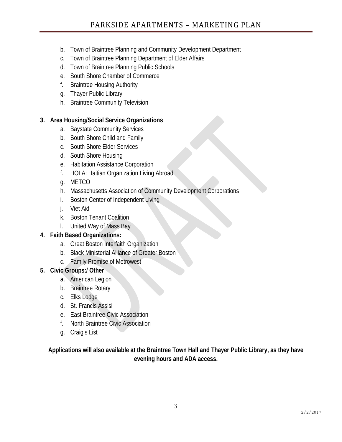- b. Town of Braintree Planning and Community Development Department
- c. Town of Braintree Planning Department of Elder Affairs
- d. Town of Braintree Planning Public Schools
- e. South Shore Chamber of Commerce
- f. Braintree Housing Authority
- g. Thayer Public Library
- h. Braintree Community Television

## **3. Area Housing/Social Service Organizations**

- a. Baystate Community Services
- b. South Shore Child and Family
- c. South Shore Elder Services
- d. South Shore Housing
- e. Habitation Assistance Corporation
- f. HOLA: Haitian Organization Living Abroad
- g. METCO
- h. Massachusetts Association of Community Development Corporations
- i. Boston Center of Independent Living
- j. Viet Aid
- k. Boston Tenant Coalition
- l. United Way of Mass Bay

## **4. Faith Based Organizations:**

- a. Great Boston Interfaith Organization
- b. Black Ministerial Alliance of Greater Boston
- c. Family Promise of Metrowest

## **5. Civic Groups:/ Other**

- a. American Legion
- b. Braintree Rotary
- c. Elks Lodge
- d. St. Francis Assisi
- e. East Braintree Civic Association
- f. North Braintree Civic Association
- g. Craig's List

**Applications will also available at the Braintree Town Hall and Thayer Public Library, as they have evening hours and ADA access.**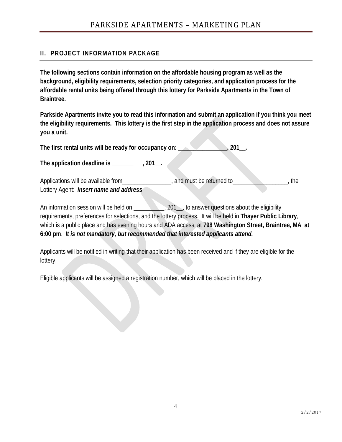## **II. PROJECT INFORMATION PACKAGE**

**The following sections contain information on the affordable housing program as well as the background, eligibility requirements, selection priority categories, and application process for the affordable rental units being offered through this lottery for Parkside Apartments in the Town of Braintree.**

**Parkside Apartments invite you to read this information and submit an application if you think you meet the eligibility requirements. This lottery is the first step in the application process and does not assure you a unit.**

The first rental units will be ready for occupancy on: 201\_

The application deadline is \_\_\_\_\_\_\_\_\_\_\_\_\_\_, 201\_\_.

Applications will be available from\_\_\_\_\_\_\_\_\_\_\_\_\_\_\_, and must be returned to\_\_\_\_\_\_\_\_\_\_\_\_\_\_\_\_, the Lottery Agent: *insert name and address*

An information session will be held on \_\_\_\_\_\_\_\_, 201\_, to answer questions about the eligibility requirements, preferences for selections, and the lottery process. It will be held in **Thayer Public Library**, which is a public place and has evening hours and ADA access, at **798 Washington Street, Braintree, MA at 6:00 pm**. *It is not mandatory, but recommended that interested applicants attend.*

Applicants will be notified in writing that their application has been received and if they are eligible for the lottery.

Eligible applicants will be assigned a registration number, which will be placed in the lottery.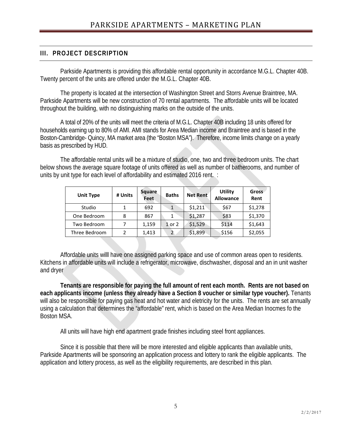## **III. PROJECT DESCRIPTION**

Parkside Apartments is providing this affordable rental opportunity in accordance M.G.L. Chapter 40B. Twenty percent of the units are offered under the M.G.L. Chapter 40B.

The property is located at the intersection of Washington Street and Storrs Avenue Braintree, MA. Parkside Apartments will be new construction of 70 rental apartments. The affordable units will be located throughout the building, with no distinguishing marks on the outside of the units.

A total of 20% of the units will meet the criteria of M.G.L. Chapter 40B including 18 units offered for households earning up to 80% of AMI. AMI stands for Area Median income and Braintree and is based in the Boston-Cambridge- Quincy, MA market area (the "Boston MSA"). Therefore, income limits change on a yearly basis as prescribed by HUD.

The affordable rental units will be a mixture of studio, one, two and three bedroom units. The chart below shows the average square footage of units offered as well as number of batherooms, and number of units by unit type for each level of affordability and estimated 2016 rent. :

| <b>Unit Type</b> | # Units | Square<br>Feet | <b>Baths</b> | <b>Net Rent</b> | <b>Utility</b><br>Allowance | Gross<br>Rent |
|------------------|---------|----------------|--------------|-----------------|-----------------------------|---------------|
| Studio           |         | 692            | $\mathbf{1}$ | \$1,211         | \$67                        | \$1,278       |
| One Bedroom      | 8       | 867            | 1            | \$1,287         | \$83                        | \$1,370       |
| Two Bedroom      |         | 1,159          | 1 or 2       | \$1,529         | \$114                       | \$1,643       |
| Three Bedroom    | 2       | 1,413          |              | \$1,899         | \$156                       | \$2,055       |

Affordable units willl have one assigned parking space and use of common areas open to residents. Kitchens in affordable units will include a refrigerator, microwave, dischwasher, disposal and an in unit washer and dryer

**Tenants are responsible for paying the full amount of rent each month. Rents are not based on each applicants income (unless they already have a Section 8 voucher or similar type voucher).** Tenants will also be responsible for paying gas heat and hot water and eletricity for the units. The rents are set annually using a calculation that determines the "affordable" rent, which is based on the Area Median Inocmes fo the Boston MSA.

All units will have high end apartment grade finishes including steel front appliances.

Since it is possible that there will be more interested and eligible applicants than available units, Parkside Apartments will be sponsoring an application process and lottery to rank the eligible applicants. The application and lottery process, as well as the eligibility requirements, are described in this plan.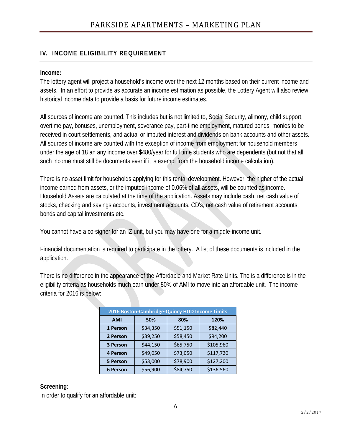# **IV. INCOME ELIGIBILITY REQUIREMENT**

#### **Income:**

The lottery agent will project a household's income over the next 12 months based on their current income and assets. In an effort to provide as accurate an income estimation as possible, the Lottery Agent will also review historical income data to provide a basis for future income estimates.

All sources of income are counted. This includes but is not limited to, Social Security, alimony, child support, overtime pay, bonuses, unemployment, severance pay, part-time employment, matured bonds, monies to be received in court settlements, and actual or imputed interest and dividends on bank accounts and other assets. All sources of income are counted with the exception of income from employment for household members under the age of 18 an any income over \$480/year for full time students who are dependents (but not that all such income must still be documents ever if it is exempt from the household income calculation).

There is no asset limit for households applying for this rental development. However, the higher of the actual income earned from assets, or the imputed income of 0.06% of all assets, will be counted as income. Household Assets are calculated at the time of the application. Assets may include cash, net cash value of stocks, checking and savings accounts, investment accounts, CD's, net cash value of retirement accounts, bonds and capital investments etc.

You cannot have a co-signer for an IZ unit, but you may have one for a middle-income unit.

Financial documentation is required to participate in the lottery. A list of these documents is included in the application.

There is no difference in the appearance of the Affordable and Market Rate Units. The is a difference is in the eligibility criteria as households much earn under 80% of AMI to move into an affordable unit. The income criteria for 2016 is below:

| 2016 Boston-Cambridge-Quincy HUD Income Limits |          |          |           |  |  |
|------------------------------------------------|----------|----------|-----------|--|--|
| <b>AMI</b>                                     | 50%      | 80%      | 120%      |  |  |
| 1 Person                                       | \$34,350 | \$51,150 | \$82,440  |  |  |
| 2 Person                                       | \$39,250 | \$58,450 | \$94,200  |  |  |
| 3 Person                                       | \$44,150 | \$65,750 | \$105,960 |  |  |
| <b>4 Person</b>                                | \$49,050 | \$73,050 | \$117,720 |  |  |
| <b>5 Person</b>                                | \$53,000 | \$78,900 | \$127,200 |  |  |
| <b>6 Person</b>                                | \$56,900 | \$84,750 | \$136,560 |  |  |

## **Screening:**

In order to qualify for an affordable unit: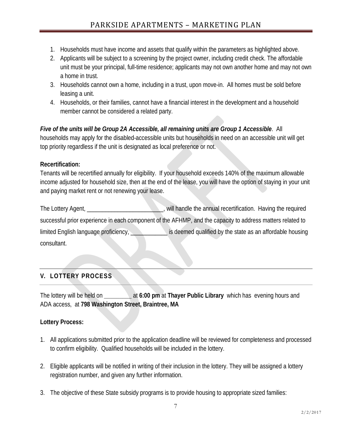- 1. Households must have income and assets that qualify within the parameters as highlighted above.
- 2. Applicants will be subject to a screening by the project owner, including credit check. The affordable unit must be your principal, full-time residence; applicants may not own another home and may not own a home in trust.
- 3. Households cannot own a home, including in a trust, upon move-in. All homes must be sold before leasing a unit.
- 4. Households, or their families, cannot have a financial interest in the development and a household member cannot be considered a related party.

*Five of the units will be Group 2A Accessible, all remaining units are Group 1 Accessible*. All households may apply for the disabled-accessible units but households in need on an accessible unit will get top priority regardless if the unit is designated as local preference or not.

## **Recertification:**

Tenants will be recertified annually for eligibility. If your household exceeds 140% of the maximum allowable income adjusted for household size, then at the end of the lease, you will have the option of staying in your unit and paying market rent or not renewing your lease.

The Lottery Agent, \_\_\_\_\_\_\_\_\_\_\_\_\_\_\_\_\_\_\_\_\_\_, will handle the annual recertification. Having the required successful prior experience in each component of the AFHMP, and the capacity to address matters related to limited English language proficiency, **we can be a set of constant of the state** as an affordable housing consultant.

# **V. LOTTERY PROCESS**

The lottery will be held on **\_\_\_\_\_\_\_\_\_** at **6:00 pm** at **Thayer Public Library** which has evening hours and ADA access, at **798 Washington Street, Braintree, MA**

## **Lottery Process:**

- 1. All applications submitted prior to the application deadline will be reviewed for completeness and processed to confirm eligibility. Qualified households will be included in the lottery.
- 2. Eligible applicants will be notified in writing of their inclusion in the lottery. They will be assigned a lottery registration number, and given any further information.
- 3. The objective of these State subsidy programs is to provide housing to appropriate sized families: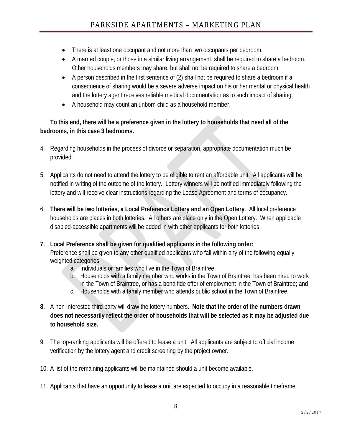- There is at least one occupant and not more than two occupants per bedroom.
- A married couple, or those in a similar living arrangement, shall be required to share a bedroom. Other households members may share, but shall not be required to share a bedroom.
- A person described in the first sentence of (2) shall not be required to share a bedroom if a consequence of sharing would be a severe adverse impact on his or her mental or physical health and the lottery agent receives reliable medical documentation as to such impact of sharing.
- A household may count an unborn child as a household member.

**To this end, there will be a preference given in the lottery to households that need all of the bedrooms, in this case 3 bedrooms.** 

- 4. Regarding households in the process of divorce or separation, appropriate documentation much be provided.
- 5. Applicants do not need to attend the lottery to be eligible to rent an affordable unit. All applicants will be notified in writing of the outcome of the lottery. Lottery winners will be notified immediately following the lottery and will receive clear instructions regarding the Lease Agreement and terms of occupancy.
- 6. **There will be two lotteries, a Local Preference Lottery and an Open Lottery**. All local preference households are places in both lotteries. All others are place only in the Open Lottery. When applicable disabled-accessible apartments will be added in with other applicants for both lotteries.
- **7. Local Preference shall be given for qualified applicants in the following order:** Preference shall be given to any other qualified applicants who fall within any of the following equally weighted categories:
	- a. Individuals or families who live in the Town of Braintree;
	- b. Households with a family member who works in the Town of Braintree, has been hired to work in the Town of Braintree, or has a bona fide offer of employment in the Town of Braintree; and
	- c. Households with a family member who attends public school in the Town of Braintree.
- **8.** A non-interested third party will draw the lottery numbers. **Note that the order of the numbers drawn does not necessarily reflect the order of households that will be selected as it may be adjusted due to household size.**
- 9. The top-ranking applicants will be offered to lease a unit. All applicants are subject to official income verification by the lottery agent and credit screening by the project owner.
- 10. A list of the remaining applicants will be maintained should a unit become available.
- 11. Applicants that have an opportunity to lease a unit are expected to occupy in a reasonable timeframe.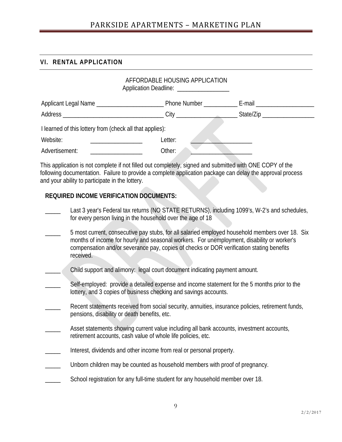## **VI. RENTAL APPLICATION**

|                                                                      | AFFORDABLE HOUSING APPLICATION<br>Application Deadline: ___________________ |                                |  |  |
|----------------------------------------------------------------------|-----------------------------------------------------------------------------|--------------------------------|--|--|
|                                                                      |                                                                             | E-mail _______________________ |  |  |
|                                                                      |                                                                             | State/Zip ___________________  |  |  |
| I learned of this lottery from (check all that applies):             |                                                                             |                                |  |  |
| Website:                                                             | Letter:                                                                     |                                |  |  |
| Advertisement:<br><u> 1980 - Jan James Barnett, fizik amerikan (</u> | Other:                                                                      |                                |  |  |

This application is not complete if not filled out completely, signed and submitted with ONE COPY of the following documentation. Failure to provide a complete application package can delay the approval process and your ability to participate in the lottery.

### **REQUIRED INCOME VERIFICATION DOCUMENTS:**

- Last 3 year's Federal tax returns (NO STATE RETURNS), including 1099's, W-2's and schedules, for every person living in the household over the age of 18
- \_\_\_\_\_ 5 most current, consecutive pay stubs, for all salaried employed household members over 18. Six months of income for hourly and seasonal workers. For unemployment, disability or worker's compensation and/or severance pay, copies of checks or DOR verification stating benefits received.
- Child support and alimony: legal court document indicating payment amount.
- Self-employed: provide a detailed expense and income statement for the 5 months prior to the lottery, and 3 copies of business checking and savings accounts.
- Recent statements received from social security, annuities, insurance policies, retirement funds, pensions, disability or death benefits, etc.
- Asset statements showing current value including all bank accounts, investment accounts, retirement accounts, cash value of whole life policies, etc.
- Interest, dividends and other income from real or personal property.
- Unborn children may be counted as household members with proof of pregnancy.
- School registration for any full-time student for any household member over 18.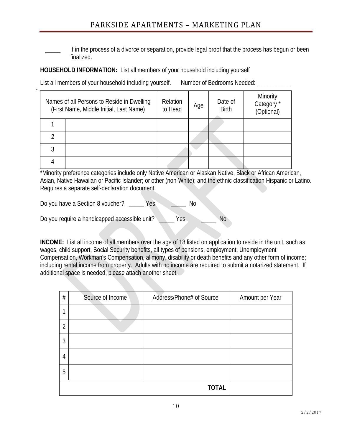# PARKSIDE APARTMENTS – MARKETING PLAN

If in the process of a divorce or separation, provide legal proof that the process has begun or been finalized.

#### **HOUSEHOLD INFORMATION:** List all members of your household including yourself

List all members of your household including yourself. Number of Bedrooms Needed: \_\_\_\_\_\_\_\_\_

| Names of all Persons to Reside in Dwelling<br>(First Name, Middle Initial, Last Name) | Relation<br>to Head | Age | Date of<br><b>Birth</b> | Minority<br>Category <sup>*</sup><br>(Optional) |
|---------------------------------------------------------------------------------------|---------------------|-----|-------------------------|-------------------------------------------------|
|                                                                                       |                     |     |                         |                                                 |
|                                                                                       |                     |     |                         |                                                 |
|                                                                                       |                     |     |                         |                                                 |
|                                                                                       |                     |     |                         |                                                 |

\*Minority preference categories include only Native American or Alaskan Native, Black or African American, Asian, Native Hawaiian or Pacific Islander; or other (non-White); and the ethnic classification Hispanic or Latino. Requires a separate self-declaration document.

Do you have a Section 8 voucher? The Section of the Section 8 voucher? The Section of the Section 4 Do

Do you require a handicapped accessible unit? \_\_\_\_\_\_ Yes \_\_\_\_\_\_\_ No

**INCOME:** List all income of all members over the age of 18 listed on application to reside in the unit, such as wages, child support, Social Security benefits, all types of pensions, employment, Unemployment Compensation, Workman's Compensation, alimony, disability or death benefits and any other form of income; including rental income from property. Adults with no income are required to submit a notarized statement. If additional space is needed, please attach another sheet.

| $\#$           | Source of Income | Address/Phone# of Source | Amount per Year |  |
|----------------|------------------|--------------------------|-----------------|--|
|                |                  |                          |                 |  |
| $\overline{2}$ |                  |                          |                 |  |
| 3              |                  |                          |                 |  |
| 4              |                  |                          |                 |  |
| 5              |                  |                          |                 |  |
|                | <b>TOTAL</b>     |                          |                 |  |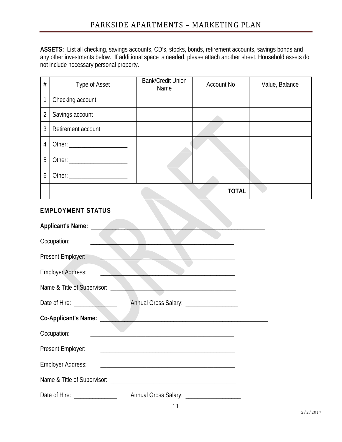**ASSETS:** List all checking, savings accounts, CD's, stocks, bonds, retirement accounts, savings bonds and any other investments below. If additional space is needed, please attach another sheet. Household assets do not include necessary personal property.

| $\#$           | Type of Asset      | <b>Bank/Credit Union</b><br>Name | Account No   | Value, Balance |
|----------------|--------------------|----------------------------------|--------------|----------------|
| 1              | Checking account   |                                  |              |                |
| $\overline{2}$ | Savings account    |                                  |              |                |
| 3              | Retirement account |                                  |              |                |
| $\overline{4}$ |                    |                                  |              |                |
| 5              |                    |                                  |              |                |
| 6              |                    |                                  |              |                |
|                |                    |                                  | <b>TOTAL</b> |                |

# **EMPLOYMENT STATUS**

| Occupation:                                                                                                                                      |  |
|--------------------------------------------------------------------------------------------------------------------------------------------------|--|
| Present Employer:                                                                                                                                |  |
| <b>Employer Address:</b>                                                                                                                         |  |
| Name & Title of Supervisor: ___                                                                                                                  |  |
| Annual Gross Salary: __________________                                                                                                          |  |
| Co-Applicant's Name:                                                                                                                             |  |
| Occupation:                                                                                                                                      |  |
| Present Employer:                                                                                                                                |  |
| <b>Employer Address:</b><br><u> 1980 - Jan James James, martin de filozof, martin de filozof, martin de filozof, martin de filozof, martin d</u> |  |
|                                                                                                                                                  |  |
| Date of Hire: _______________<br>Annual Gross Salary: ____________________                                                                       |  |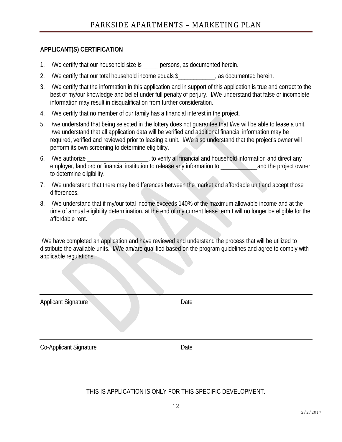#### **APPLICANT(S) CERTIFICATION**

- 1. I/We certify that our household size is entity persons, as documented herein.
- 2. I/We certify that our total household income equals \$ ..., as documented herein.
- 3. I/We certify that the information in this application and in support of this application is true and correct to the best of my/our knowledge and belief under full penalty of perjury. I/We understand that false or incomplete information may result in disqualification from further consideration.
- 4. I/We certify that no member of our family has a financial interest in the project.
- 5. I/we understand that being selected in the lottery does not guarantee that I/we will be able to lease a unit. I/we understand that all application data will be verified and additional financial information may be required, verified and reviewed prior to leasing a unit. I/We also understand that the project's owner will perform its own screening to determine eligibility.
- 6. I/We authorize **Example 20** is to verify all financial and household information and direct any employer, landlord or financial institution to release any information to and the project owner to determine eligibility.
- 7. I/We understand that there may be differences between the market and affordable unit and accept those differences.
- 8. I/We understand that if my/our total income exceeds 140% of the maximum allowable income and at the time of annual eligibility determination, at the end of my current lease term I will no longer be eligible for the affordable rent.

I/We have completed an application and have reviewed and understand the process that will be utilized to distribute the available units. I/We am/are qualified based on the program guidelines and agree to comply with applicable regulations.

| <b>Applicant Signature</b> | . .<br>Date |  |
|----------------------------|-------------|--|
| Co-Applicant Signature     | Date        |  |

THIS IS APPLICATION IS ONLY FOR THIS SPECIFIC DEVELOPMENT.